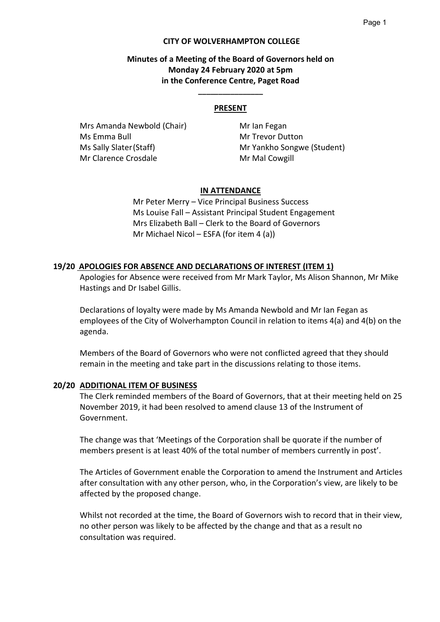#### **CITY OF WOLVERHAMPTON COLLEGE**

## **Minutes of a Meeting of the Board of Governors held on Monday 24 February 2020 at 5pm in the Conference Centre, Paget Road**

#### **PRESENT**

**\_\_\_\_\_\_\_\_\_\_\_\_\_\_\_\_**

Mrs Amanda Newbold (Chair) Mr Ian Fegan Ms Emma Bull Mr Trevor Dutton Ms Sally Slater (Staff) Mr Yankho Songwe (Student) Mr Clarence Crosdale Mr Mal Cowgill

#### **IN ATTENDANCE**

Mr Peter Merry – Vice Principal Business Success Ms Louise Fall – Assistant Principal Student Engagement Mrs Elizabeth Ball – Clerk to the Board of Governors Mr Michael Nicol – ESFA (for item 4 (a))

#### **19/20 APOLOGIES FOR ABSENCE AND DECLARATIONS OF INTEREST (ITEM 1)**

Apologies for Absence were received from Mr Mark Taylor, Ms Alison Shannon, Mr Mike Hastings and Dr Isabel Gillis.

Declarations of loyalty were made by Ms Amanda Newbold and Mr Ian Fegan as employees of the City of Wolverhampton Council in relation to items 4(a) and 4(b) on the agenda.

Members of the Board of Governors who were not conflicted agreed that they should remain in the meeting and take part in the discussions relating to those items.

#### **20/20 ADDITIONAL ITEM OF BUSINESS**

The Clerk reminded members of the Board of Governors, that at their meeting held on 25 November 2019, it had been resolved to amend clause 13 of the Instrument of Government.

The change was that 'Meetings of the Corporation shall be quorate if the number of members present is at least 40% of the total number of members currently in post'.

The Articles of Government enable the Corporation to amend the Instrument and Articles after consultation with any other person, who, in the Corporation's view, are likely to be affected by the proposed change.

Whilst not recorded at the time, the Board of Governors wish to record that in their view, no other person was likely to be affected by the change and that as a result no consultation was required.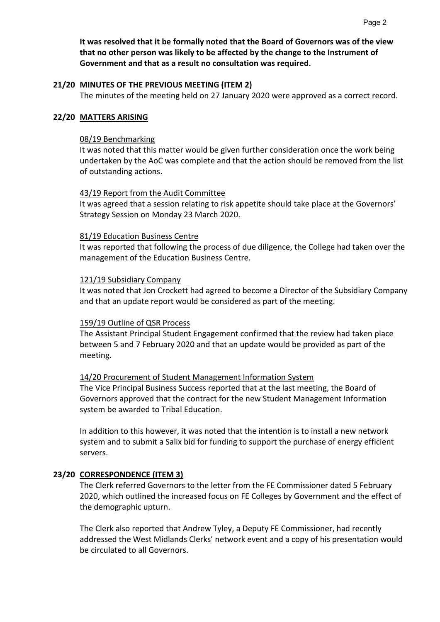**It was resolved that it be formally noted that the Board of Governors was of the view that no other person was likely to be affected by the change to the Instrument of Government and that as a result no consultation was required.**

#### **21/20 MINUTES OF THE PREVIOUS MEETING (ITEM 2)**

The minutes of the meeting held on 27 January 2020 were approved as a correct record.

#### **22/20 MATTERS ARISING**

#### 08/19 Benchmarking

It was noted that this matter would be given further consideration once the work being undertaken by the AoC was complete and that the action should be removed from the list of outstanding actions.

#### 43/19 Report from the Audit Committee

It was agreed that a session relating to risk appetite should take place at the Governors' Strategy Session on Monday 23 March 2020.

#### 81/19 Education Business Centre

It was reported that following the process of due diligence, the College had taken over the management of the Education Business Centre.

#### 121/19 Subsidiary Company

It was noted that Jon Crockett had agreed to become a Director of the Subsidiary Company and that an update report would be considered as part of the meeting.

### 159/19 Outline of QSR Process

The Assistant Principal Student Engagement confirmed that the review had taken place between 5 and 7 February 2020 and that an update would be provided as part of the meeting.

### 14/20 Procurement of Student Management Information System

The Vice Principal Business Success reported that at the last meeting, the Board of Governors approved that the contract for the new Student Management Information system be awarded to Tribal Education.

In addition to this however, it was noted that the intention is to install a new network system and to submit a Salix bid for funding to support the purchase of energy efficient servers.

### **23/20 CORRESPONDENCE (ITEM 3)**

The Clerk referred Governors to the letter from the FE Commissioner dated 5 February 2020, which outlined the increased focus on FE Colleges by Government and the effect of the demographic upturn.

The Clerk also reported that Andrew Tyley, a Deputy FE Commissioner, had recently addressed the West Midlands Clerks' network event and a copy of his presentation would be circulated to all Governors.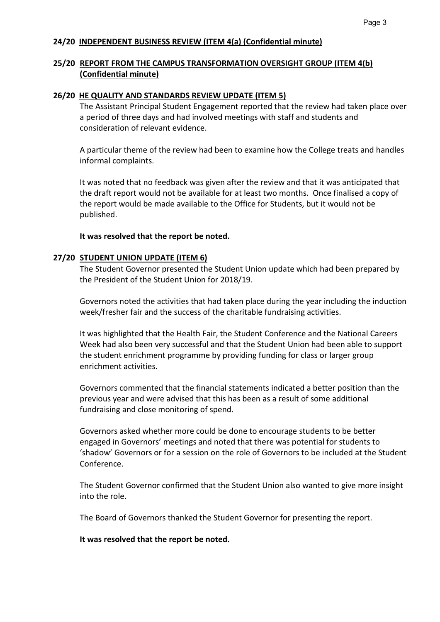# **24/20 INDEPENDENT BUSINESS REVIEW (ITEM 4(a) (Confidential minute)**

# **25/20 REPORT FROM THE CAMPUS TRANSFORMATION OVERSIGHT GROUP (ITEM 4(b) (Confidential minute)**

#### **26/20 HE QUALITY AND STANDARDS REVIEW UPDATE (ITEM 5)**

The Assistant Principal Student Engagement reported that the review had taken place over a period of three days and had involved meetings with staff and students and consideration of relevant evidence.

A particular theme of the review had been to examine how the College treats and handles informal complaints.

It was noted that no feedback was given after the review and that it was anticipated that the draft report would not be available for at least two months. Once finalised a copy of the report would be made available to the Office for Students, but it would not be published.

#### **It was resolved that the report be noted.**

### **27/20 STUDENT UNION UPDATE (ITEM 6)**

The Student Governor presented the Student Union update which had been prepared by the President of the Student Union for 2018/19.

Governors noted the activities that had taken place during the year including the induction week/fresher fair and the success of the charitable fundraising activities.

It was highlighted that the Health Fair, the Student Conference and the National Careers Week had also been very successful and that the Student Union had been able to support the student enrichment programme by providing funding for class or larger group enrichment activities.

Governors commented that the financial statements indicated a better position than the previous year and were advised that this has been as a result of some additional fundraising and close monitoring of spend.

Governors asked whether more could be done to encourage students to be better engaged in Governors' meetings and noted that there was potential for students to 'shadow' Governors or for a session on the role of Governors to be included at the Student Conference.

The Student Governor confirmed that the Student Union also wanted to give more insight into the role.

The Board of Governors thanked the Student Governor for presenting the report.

**It was resolved that the report be noted.**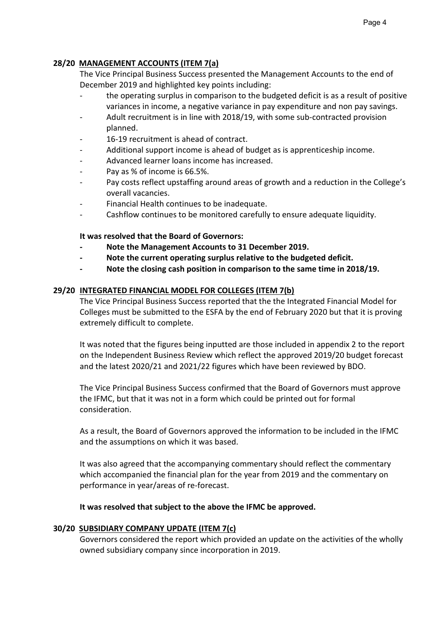# **28/20 MANAGEMENT ACCOUNTS (ITEM 7(a)**

The Vice Principal Business Success presented the Management Accounts to the end of December 2019 and highlighted key points including:

- the operating surplus in comparison to the budgeted deficit is as a result of positive variances in income, a negative variance in pay expenditure and non pay savings.
- Adult recruitment is in line with 2018/19, with some sub-contracted provision planned.
- 16-19 recruitment is ahead of contract.
- Additional support income is ahead of budget as is apprenticeship income.
- Advanced learner loans income has increased.
- Pay as % of income is 66.5%.
- Pay costs reflect upstaffing around areas of growth and a reduction in the College's overall vacancies.
- Financial Health continues to be inadequate.
- Cashflow continues to be monitored carefully to ensure adequate liquidity.

# **It was resolved that the Board of Governors:**

- Note the Management Accounts to 31 December 2019.
- **Note the current operating surplus relative to the budgeted deficit.**
- **Note the closing cash position in comparison to the same time in 2018/19.**

# **29/20 INTEGRATED FINANCIAL MODEL FOR COLLEGES (ITEM 7(b)**

The Vice Principal Business Success reported that the the Integrated Financial Model for Colleges must be submitted to the ESFA by the end of February 2020 but that it is proving extremely difficult to complete.

It was noted that the figures being inputted are those included in appendix 2 to the report on the Independent Business Review which reflect the approved 2019/20 budget forecast and the latest 2020/21 and 2021/22 figures which have been reviewed by BDO.

The Vice Principal Business Success confirmed that the Board of Governors must approve the IFMC, but that it was not in a form which could be printed out for formal consideration.

As a result, the Board of Governors approved the information to be included in the IFMC and the assumptions on which it was based.

It was also agreed that the accompanying commentary should reflect the commentary which accompanied the financial plan for the year from 2019 and the commentary on performance in year/areas of re-forecast.

**It was resolved that subject to the above the IFMC be approved.**

# **30/20 SUBSIDIARY COMPANY UPDATE (ITEM 7(c)**

Governors considered the report which provided an update on the activities of the wholly owned subsidiary company since incorporation in 2019.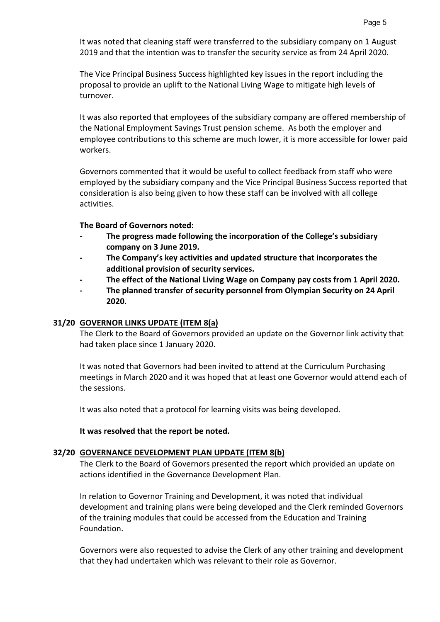It was noted that cleaning staff were transferred to the subsidiary company on 1 August 2019 and that the intention was to transfer the security service as from 24 April 2020.

The Vice Principal Business Success highlighted key issues in the report including the proposal to provide an uplift to the National Living Wage to mitigate high levels of turnover.

It was also reported that employees of the subsidiary company are offered membership of the National Employment Savings Trust pension scheme. As both the employer and employee contributions to this scheme are much lower, it is more accessible for lower paid workers.

Governors commented that it would be useful to collect feedback from staff who were employed by the subsidiary company and the Vice Principal Business Success reported that consideration is also being given to how these staff can be involved with all college activities.

### **The Board of Governors noted:**

- **The progress made following the incorporation of the College's subsidiary company on 3 June 2019.**
- **The Company's key activities and updated structure that incorporates the additional provision of security services.**
- **The effect of the National Living Wage on Company pay costs from 1 April 2020.**
- **The planned transfer of security personnel from Olympian Security on 24 April 2020.**

### **31/20 GOVERNOR LINKS UPDATE (ITEM 8(a)**

The Clerk to the Board of Governors provided an update on the Governor link activity that had taken place since 1 January 2020.

It was noted that Governors had been invited to attend at the Curriculum Purchasing meetings in March 2020 and it was hoped that at least one Governor would attend each of the sessions.

It was also noted that a protocol for learning visits was being developed.

### **It was resolved that the report be noted.**

### **32/20 GOVERNANCE DEVELOPMENT PLAN UPDATE (ITEM 8(b)**

The Clerk to the Board of Governors presented the report which provided an update on actions identified in the Governance Development Plan.

In relation to Governor Training and Development, it was noted that individual development and training plans were being developed and the Clerk reminded Governors of the training modules that could be accessed from the Education and Training Foundation.

Governors were also requested to advise the Clerk of any other training and development that they had undertaken which was relevant to their role as Governor.